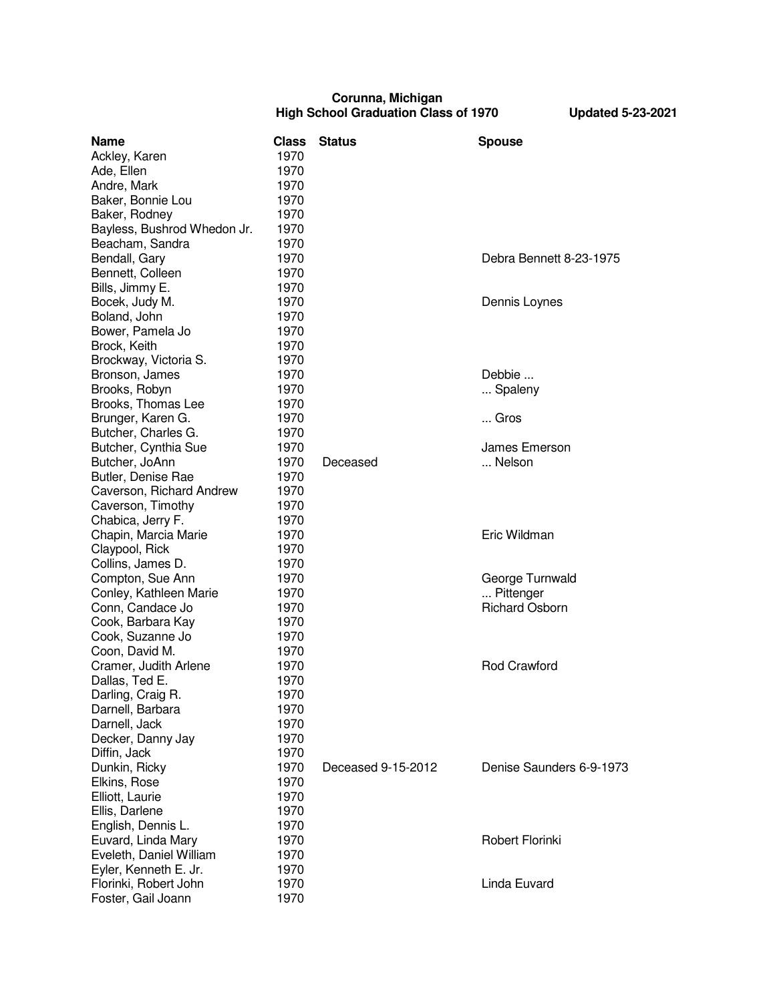## **Corunna, Michigan High School Graduation Class of 1970 Updated 5-23-2021**

| <b>Name</b>                 | <b>Class</b> | <b>Status</b>      | <b>Spouse</b>            |
|-----------------------------|--------------|--------------------|--------------------------|
| Ackley, Karen               | 1970         |                    |                          |
| Ade, Ellen                  | 1970         |                    |                          |
| Andre, Mark                 | 1970         |                    |                          |
| Baker, Bonnie Lou           | 1970         |                    |                          |
| Baker, Rodney               | 1970         |                    |                          |
| Bayless, Bushrod Whedon Jr. | 1970         |                    |                          |
| Beacham, Sandra             | 1970         |                    |                          |
| Bendall, Gary               | 1970         |                    | Debra Bennett 8-23-1975  |
| Bennett, Colleen            | 1970         |                    |                          |
| Bills, Jimmy E.             | 1970         |                    |                          |
| Bocek, Judy M.              | 1970         |                    | Dennis Loynes            |
| Boland, John                | 1970         |                    |                          |
| Bower, Pamela Jo            | 1970         |                    |                          |
| Brock, Keith                | 1970         |                    |                          |
| Brockway, Victoria S.       | 1970         |                    |                          |
| Bronson, James              | 1970         |                    | Debbie                   |
| Brooks, Robyn               | 1970         |                    | Spaleny                  |
| Brooks, Thomas Lee          | 1970         |                    |                          |
| Brunger, Karen G.           | 1970         |                    | Gros                     |
| Butcher, Charles G.         | 1970         |                    |                          |
| Butcher, Cynthia Sue        | 1970         |                    | James Emerson            |
| Butcher, JoAnn              | 1970         | Deceased           | Nelson                   |
| Butler, Denise Rae          | 1970         |                    |                          |
| Caverson, Richard Andrew    | 1970         |                    |                          |
| Caverson, Timothy           | 1970         |                    |                          |
| Chabica, Jerry F.           | 1970         |                    |                          |
| Chapin, Marcia Marie        | 1970         |                    | Eric Wildman             |
| Claypool, Rick              | 1970         |                    |                          |
| Collins, James D.           | 1970         |                    |                          |
| Compton, Sue Ann            | 1970         |                    | George Turnwald          |
| Conley, Kathleen Marie      | 1970         |                    | Pittenger                |
| Conn, Candace Jo            | 1970         |                    | <b>Richard Osborn</b>    |
| Cook, Barbara Kay           | 1970         |                    |                          |
| Cook, Suzanne Jo            | 1970         |                    |                          |
| Coon, David M.              | 1970         |                    |                          |
| Cramer, Judith Arlene       | 1970         |                    | <b>Rod Crawford</b>      |
| Dallas, Ted E.              | 1970         |                    |                          |
| Darling, Craig R.           | 1970         |                    |                          |
| Darnell, Barbara            | 1970         |                    |                          |
| Darnell, Jack               | 1970         |                    |                          |
| Decker, Danny Jay           | 1970         |                    |                          |
| Diffin, Jack                | 1970         |                    |                          |
| Dunkin, Ricky               | 1970         | Deceased 9-15-2012 | Denise Saunders 6-9-1973 |
| Elkins, Rose                | 1970         |                    |                          |
| Elliott, Laurie             | 1970         |                    |                          |
| Ellis, Darlene              | 1970         |                    |                          |
| English, Dennis L.          | 1970         |                    |                          |
| Euvard, Linda Mary          | 1970         |                    | Robert Florinki          |
| Eveleth, Daniel William     | 1970         |                    |                          |
| Eyler, Kenneth E. Jr.       | 1970         |                    |                          |
| Florinki, Robert John       | 1970         |                    | Linda Euvard             |
| Foster, Gail Joann          | 1970         |                    |                          |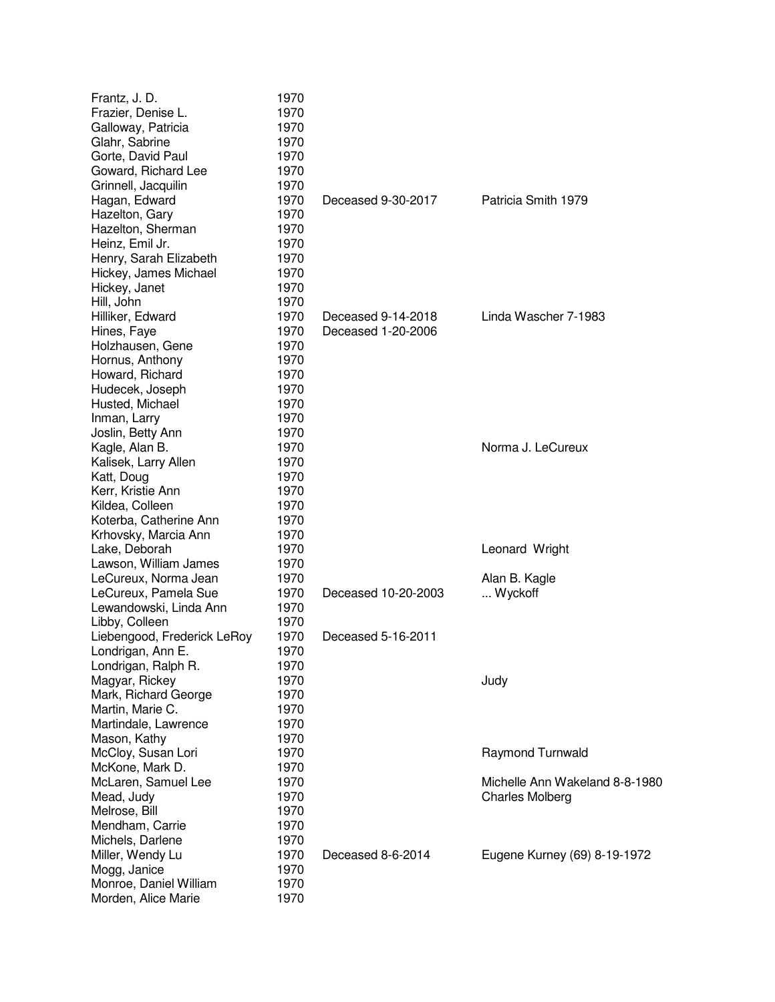| Frantz, J. D.<br>Frazier, Denise L.      | 1970<br>1970 |                     |                                |
|------------------------------------------|--------------|---------------------|--------------------------------|
| Galloway, Patricia                       | 1970         |                     |                                |
| Glahr, Sabrine                           | 1970<br>1970 |                     |                                |
| Gorte, David Paul<br>Goward, Richard Lee | 1970         |                     |                                |
|                                          |              |                     |                                |
| Grinnell, Jacquilin                      | 1970<br>1970 | Deceased 9-30-2017  | Patricia Smith 1979            |
| Hagan, Edward                            | 1970         |                     |                                |
| Hazelton, Gary<br>Hazelton, Sherman      | 1970         |                     |                                |
| Heinz, Emil Jr.                          | 1970         |                     |                                |
| Henry, Sarah Elizabeth                   | 1970         |                     |                                |
| Hickey, James Michael                    | 1970         |                     |                                |
| Hickey, Janet                            | 1970         |                     |                                |
| Hill, John                               | 1970         |                     |                                |
| Hilliker, Edward                         | 1970         | Deceased 9-14-2018  | Linda Wascher 7-1983           |
| Hines, Faye                              | 1970         | Deceased 1-20-2006  |                                |
| Holzhausen, Gene                         | 1970         |                     |                                |
| Hornus, Anthony                          | 1970         |                     |                                |
| Howard, Richard                          | 1970         |                     |                                |
| Hudecek, Joseph                          | 1970         |                     |                                |
| Husted, Michael                          | 1970         |                     |                                |
| Inman, Larry                             | 1970         |                     |                                |
| Joslin, Betty Ann                        | 1970         |                     |                                |
| Kagle, Alan B.                           | 1970         |                     | Norma J. LeCureux              |
| Kalisek, Larry Allen                     | 1970         |                     |                                |
| Katt, Doug                               | 1970         |                     |                                |
| Kerr, Kristie Ann                        | 1970         |                     |                                |
| Kildea, Colleen                          | 1970         |                     |                                |
| Koterba, Catherine Ann                   | 1970         |                     |                                |
| Krhovsky, Marcia Ann                     | 1970         |                     |                                |
| Lake, Deborah                            | 1970         |                     | Leonard Wright                 |
| Lawson, William James                    | 1970         |                     |                                |
| LeCureux, Norma Jean                     | 1970         |                     | Alan B. Kagle                  |
| LeCureux, Pamela Sue                     | 1970         | Deceased 10-20-2003 | Wyckoff                        |
| Lewandowski, Linda Ann                   | 1970         |                     |                                |
| Libby, Colleen                           | 1970         |                     |                                |
| Liebengood, Frederick LeRoy              | 1970         | Deceased 5-16-2011  |                                |
| Londrigan, Ann E.                        | 1970         |                     |                                |
| Londrigan, Ralph R.                      | 1970         |                     |                                |
| Magyar, Rickey                           | 1970         |                     | Judy                           |
| Mark, Richard George                     | 1970         |                     |                                |
| Martin, Marie C.                         | 1970         |                     |                                |
| Martindale, Lawrence                     | 1970         |                     |                                |
| Mason, Kathy                             | 1970         |                     |                                |
| McCloy, Susan Lori                       | 1970         |                     | <b>Raymond Turnwald</b>        |
| McKone, Mark D.                          | 1970         |                     |                                |
| McLaren, Samuel Lee                      | 1970         |                     | Michelle Ann Wakeland 8-8-1980 |
| Mead, Judy                               | 1970         |                     | <b>Charles Molberg</b>         |
| Melrose, Bill                            | 1970         |                     |                                |
| Mendham, Carrie                          | 1970         |                     |                                |
| Michels, Darlene                         | 1970         |                     |                                |
| Miller, Wendy Lu                         | 1970         | Deceased 8-6-2014   | Eugene Kurney (69) 8-19-1972   |
| Mogg, Janice                             | 1970         |                     |                                |
| Monroe, Daniel William                   | 1970         |                     |                                |
| Morden, Alice Marie                      | 1970         |                     |                                |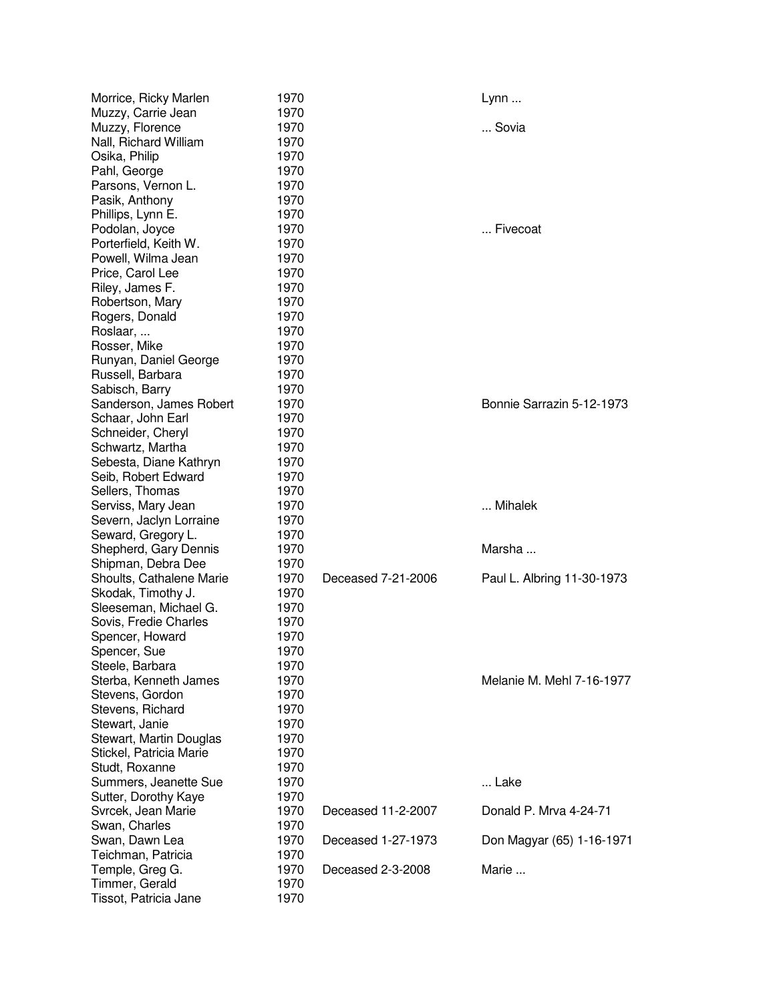| Morrice, Ricky Marlen                 | 1970         |                    | $Lynn$                     |
|---------------------------------------|--------------|--------------------|----------------------------|
| Muzzy, Carrie Jean                    | 1970         |                    |                            |
| Muzzy, Florence                       | 1970         |                    | Sovia                      |
| Nall, Richard William                 | 1970         |                    |                            |
| Osika, Philip                         | 1970         |                    |                            |
| Pahl, George                          | 1970         |                    |                            |
| Parsons, Vernon L.                    | 1970         |                    |                            |
| Pasik, Anthony                        | 1970         |                    |                            |
| Phillips, Lynn E.                     | 1970         |                    |                            |
| Podolan, Joyce                        | 1970         |                    | Fivecoat                   |
| Porterfield, Keith W.                 | 1970         |                    |                            |
| Powell, Wilma Jean                    | 1970         |                    |                            |
| Price, Carol Lee                      | 1970         |                    |                            |
| Riley, James F.                       | 1970         |                    |                            |
| Robertson, Mary                       | 1970         |                    |                            |
| Rogers, Donald                        | 1970         |                    |                            |
| Roslaar,                              | 1970         |                    |                            |
| Rosser, Mike                          | 1970         |                    |                            |
| Runyan, Daniel George                 | 1970         |                    |                            |
| Russell, Barbara                      | 1970         |                    |                            |
| Sabisch, Barry                        | 1970         |                    |                            |
| Sanderson, James Robert               | 1970         |                    | Bonnie Sarrazin 5-12-1973  |
| Schaar, John Earl                     | 1970         |                    |                            |
| Schneider, Cheryl                     | 1970         |                    |                            |
| Schwartz, Martha                      | 1970         |                    |                            |
| Sebesta, Diane Kathryn                | 1970         |                    |                            |
| Seib, Robert Edward                   | 1970         |                    |                            |
| Sellers, Thomas                       | 1970         |                    |                            |
| Serviss, Mary Jean                    | 1970         |                    | Mihalek                    |
| Severn, Jaclyn Lorraine               | 1970         |                    |                            |
| Seward, Gregory L.                    | 1970         |                    |                            |
| Shepherd, Gary Dennis                 | 1970         |                    | Marsha                     |
| Shipman, Debra Dee                    | 1970         |                    |                            |
| Shoults, Cathalene Marie              | 1970         | Deceased 7-21-2006 | Paul L. Albring 11-30-1973 |
| Skodak, Timothy J.                    | 1970         |                    |                            |
| Sleeseman, Michael G.                 | 1970         |                    |                            |
| Sovis, Fredie Charles                 | 1970         |                    |                            |
| Spencer, Howard                       | 1970         |                    |                            |
| Spencer, Sue                          | 1970         |                    |                            |
| Steele, Barbara                       | 1970         |                    |                            |
| Sterba, Kenneth James                 | 1970         |                    | Melanie M. Mehl 7-16-1977  |
| Stevens, Gordon                       | 1970         |                    |                            |
| Stevens, Richard                      | 1970         |                    |                            |
| Stewart, Janie                        | 1970         |                    |                            |
| Stewart, Martin Douglas               | 1970         |                    |                            |
| Stickel, Patricia Marie               | 1970         |                    |                            |
| Studt, Roxanne                        | 1970         |                    |                            |
| Summers, Jeanette Sue                 | 1970         |                    | Lake                       |
| Sutter, Dorothy Kaye                  | 1970         | Deceased 11-2-2007 | Donald P. Mrva 4-24-71     |
| Svrcek, Jean Marie                    | 1970         |                    |                            |
| Swan, Charles                         | 1970<br>1970 | Deceased 1-27-1973 |                            |
| Swan, Dawn Lea                        | 1970         |                    | Don Magyar (65) 1-16-1971  |
| Teichman, Patricia<br>Temple, Greg G. | 1970         | Deceased 2-3-2008  | Marie                      |
| Timmer, Gerald                        | 1970         |                    |                            |
| Tissot, Patricia Jane                 | 1970         |                    |                            |
|                                       |              |                    |                            |